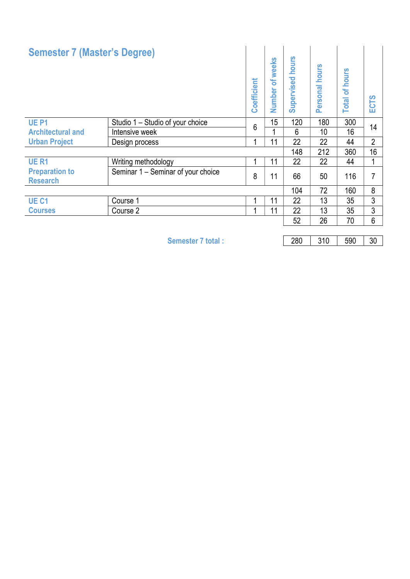| <b>Semester 7 (Master's Degree)</b>      |                                    | Coefficient | of weeks<br><b>Number</b> | hours<br>upervised<br>ശ | hours<br>ersonal<br>ō. | hours<br>$\delta$<br><b>Total</b> | ၯ<br>5<br>ш    |  |
|------------------------------------------|------------------------------------|-------------|---------------------------|-------------------------|------------------------|-----------------------------------|----------------|--|
| <b>UE P1</b>                             | Studio 1 – Studio of your choice   | 6           | 15                        | 120                     | 180                    | 300                               | 14             |  |
| <b>Architectural and</b>                 | Intensive week                     |             |                           | 6                       | 10                     | 16                                |                |  |
| <b>Urban Project</b>                     | Design process                     |             | 11                        | 22                      | 22                     | 44                                | $\overline{2}$ |  |
|                                          |                                    |             |                           | 148                     | 212                    | 360                               | 16             |  |
| <b>UE R1</b>                             | Writing methodology                |             | 11                        | 22                      | 22                     | 44                                |                |  |
| <b>Preparation to</b><br><b>Research</b> | Seminar 1 – Seminar of your choice | 8           | 11                        | 66                      | 50                     | 116                               | 7              |  |
|                                          |                                    |             |                           | 104                     | 72                     | 160                               | 8              |  |
| UE <sub>C1</sub>                         | Course 1                           |             | 11                        | 22                      | 13                     | 35                                | 3              |  |
| <b>Courses</b>                           | Course 2                           |             | 11                        | 22                      | 13                     | 35                                | 3              |  |
|                                          |                                    |             |                           | 52                      | 26                     | 70                                | 6              |  |

Semester 7 total : 280 310 590 30